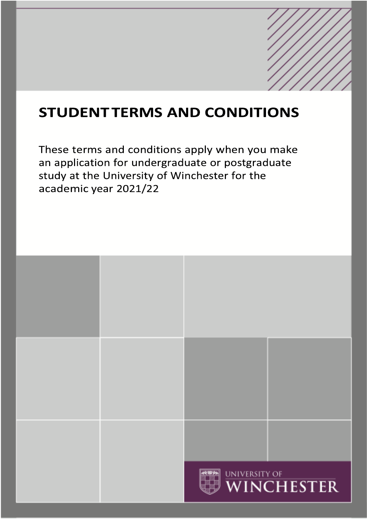# **STUDENTTERMS AND CONDITIONS**

These terms and conditions apply when you make an application for undergraduate or postgraduate study at the University of Winchester for the academic year 2021/22

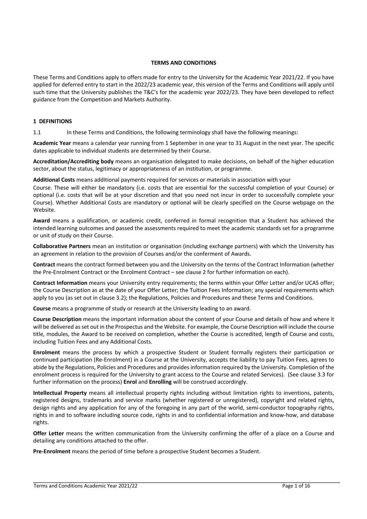#### **TERMS AND CONDITIONS**

These Terms and Conditions apply to offers made for entry to the University for the Academic Year 2021/22. If you have applied for deferred entry to start in the 2022/23 academic year, this version of the Terms and Conditions will apply until such time that the University publishes the T&C's for the academic year 2022/23. They have been developed to reflect guidance from the Competition and Markets Authority.

# **1 DEFINITIONS**

1.1 In these Terms and Conditions, the following terminology shall have the following meanings:

**Academic Year** means a calendar year running from 1 September in one year to 31 August in the next year. The specific dates applicable to individual students are determined by their Course.

**Accreditation/Accrediting body** means an organisation delegated to make decisions, on behalf of the higher education sector, about the status, legitimacy or appropriateness of an institution, or programme.

**Additional Costs** means additional payments required for services or materials in association with your

Course. These will either be mandatory (i.e. costs that are essential for the successful completion of your Course) or optional (i.e. costs that will be at your discretion and that you need not incur in order to successfully complete your Course). Whether Additional Costs are mandatory or optional will be clearly specified on the Course webpage on the Website.

**Award** means a qualification, or academic credit, conferred in formal recognition that a Student has achieved the intended learning outcomes and passed the assessments required to meet the academic standards set for a programme or unit of study on their Course.

**Collaborative Partners** mean an institution or organisation (including exchange partners) with which the University has an agreement in relation to the provision of Courses and/or the conferment of Awards.

**Contract** means the contract formed between you and the University on the terms of the Contract Information (whether the Pre-Enrolment Contract or the Enrolment Contract – see clause 2 for further information on each).

**Contract Information** means your University entry requirements; the terms within your Offer Letter and/or UCAS offer; the Course Description as at the date of your Offer Letter; the Tuition Fees Information; any special requirements which apply to you (as set out in clause 3.2); the Regulations, Policies and Procedures and these Terms and Conditions.

**Course** means a programme of study or research at the University leading to an award.

**Course Description** means the important information about the content of your Course and details of how and where it will be delivered as set out in the Prospectus and the Website. For example, the Course Description will include the course title, modules, the Award to be received on completion, whether the Course is accredited, length of Course and costs, including Tuition Fees and any Additional Costs.

**Enrolment** means the process by which a prospective Student or Student formally registers their participation or continued participation (Re-Enrolment) in a Course at the University, accepts the liability to pay Tuition Fees, agrees to abide by the Regulations, Policies and Procedures and provides information required by the University. Completion of the enrolment process is required for the University to grant access to the Course and related Services). (See clause 3.3 for further information on the process) **Enrol** and **Enrolling** will be construed accordingly.

**Intellectual Property** means all intellectual property rights including without limitation rights to inventions, patents, registered designs, trademarks and service marks (whether registered or unregistered), copyright and related rights, design rights and any application for any of the foregoing in any part of the world, semi-conductor topography rights, rights in and to software including source code, rights in and to confidential information and know-how, and database rights.

**Offer Letter** means the written communication from the University confirming the offer of a place on a Course and detailing any conditions attached to the offer.

**Pre-Enrolment** means the period of time before a prospective Student becomes a Student.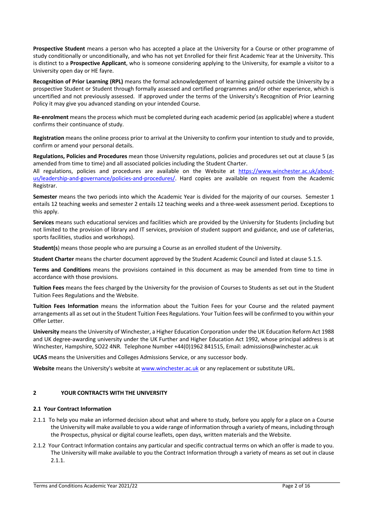**Prospective Student** means a person who has accepted a place at the University for a Course or other programme of study conditionally or unconditionally, and who has not yet Enrolled for their first Academic Year at the University. This is distinct to a **Prospective Applicant**, who is someone considering applying to the University, for example a visitor to a University open day or HE fayre.

**Recognition of Prior Learning (RPL)** means the formal acknowledgement of learning gained outside the University by a prospective Student or Student through formally assessed and certified programmes and/or other experience, which is uncertified and not previously assessed. If approved under the terms of the University's Recognition of Prior Learning Policy it may give you advanced standing on your intended Course.

**Re-enrolment** means the process which must be completed during each academic period (as applicable) where a student confirms their continuance of study.

**Registration** means the online process prior to arrival at the University to confirm your intention to study and to provide, confirm or amend your personal details.

**Regulations, Policies and Procedures** mean those University regulations, policies and procedures set out at clause 5 (as amended from time to time) and all associated policies including the Student Charter.

All regulations, policies and procedures are available on the Website at https://www.winchester.ac.uk/aboutus/leadership-and-governance/policies-and-procedures/. Hard copies are available on request from the Academic Registrar.

**Semester** means the two periods into which the Academic Year is divided for the majority of our courses. Semester 1 entails 12 teaching weeks and semester 2 entails 12 teaching weeks and a three-week assessment period. Exceptions to this apply.

**Services** means such educational services and facilities which are provided by the University for Students (including but not limited to the provision of library and IT services, provision of student support and guidance, and use of cafeterias, sports facilities, studios and workshops).

**Student(s**) means those people who are pursuing a Course as an enrolled student of the University.

**Student Charter** means the charter document approved by the Student Academic Council and listed at clause 5.1.5.

**Terms and Conditions** means the provisions contained in this document as may be amended from time to time in accordance with those provisions.

**Tuition Fees** means the fees charged by the University for the provision of Courses to Students as set out in the Student Tuition Fees Regulations and the Website.

**Tuition Fees Information** means the information about the Tuition Fees for your Course and the related payment arrangements all as set out in the Student Tuition Fees Regulations. Your Tuition fees will be confirmed to you within your Offer Letter.

**University** means the University of Winchester, a Higher Education Corporation under the UK Education Reform Act 1988 and UK degree-awarding university under the UK Further and Higher Education Act 1992, whose principal address is at Winchester, Hampshire, SO22 4NR. Telephone Number +44(0)1962 841515, Email: admissions@winchester.ac.uk

**UCAS** means the Universities and Colleges Admissions Service, or any successor body.

**Website** means the University's website at www.winchester.ac.uk or any replacement or substitute URL.

# **2 YOUR CONTRACTS WITH THE UNIVERSITY**

### **2.1 Your Contract Information**

- 2.1.1 To help you make an informed decision about what and where to study, before you apply for a place on a Course the University will make available to you a wide range of information through a variety of means, including through the Prospectus, physical or digital course leaflets, open days, written materials and the Website.
- 2.1.2 Your Contract Information contains any particular and specific contractual terms on which an offer is made to you. The University will make available to you the Contract Information through a variety of means as set out in clause 2.1.1.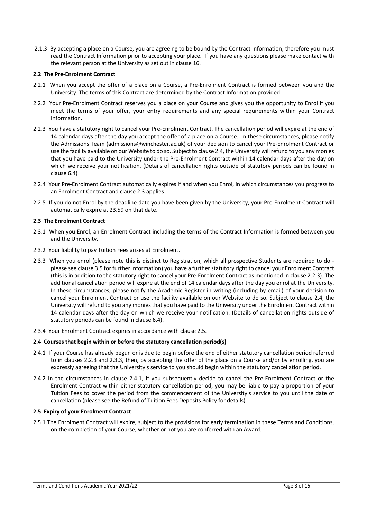2.1.3 By accepting a place on a Course, you are agreeing to be bound by the Contract Information; therefore you must read the Contract Information prior to accepting your place. If you have any questions please make contact with the relevant person at the University as set out in clause 16.

### **2.2 The Pre-Enrolment Contract**

- 2.2.1 When you accept the offer of a place on a Course, a Pre-Enrolment Contract is formed between you and the University. The terms of this Contract are determined by the Contract Information provided.
- 2.2.2 Your Pre-Enrolment Contract reserves you a place on your Course and gives you the opportunity to Enrol if you meet the terms of your offer, your entry requirements and any special requirements within your Contract Information.
- 2.2.3 You have a statutory right to cancel your Pre-Enrolment Contract. The cancellation period will expire at the end of 14 calendar days after the day you accept the offer of a place on a Course. In these circumstances, please notify the Admissions Team (admissions@winchester.ac.uk) of your decision to cancel your Pre-Enrolment Contract or use the facility available on our Website to do so. Subject to clause 2.4, the University willrefund to you any monies that you have paid to the University under the Pre-Enrolment Contract within 14 calendar days after the day on which we receive your notification. (Details of cancellation rights outside of statutory periods can be found in clause 6.4)
- 2.2.4 Your Pre-Enrolment Contract automatically expires if and when you Enrol, in which circumstances you progress to an Enrolment Contract and clause 2.3 applies.
- 2.2.5 If you do not Enrol by the deadline date you have been given by the University, your Pre-Enrolment Contract will automatically expire at 23.59 on that date.

# **2.3 The Enrolment Contract**

- 2.3.1 When you Enrol, an Enrolment Contract including the terms of the Contract Information is formed between you and the University.
- 2.3.2 Your liability to pay Tuition Fees arises at Enrolment.
- 2.3.3 When you enrol (please note this is distinct to Registration, which all prospective Students are required to do please see clause 3.5 for further information) you have a further statutory right to cancel your Enrolment Contract (this is in addition to the statutory right to cancel your Pre-Enrolment Contract as mentioned in clause 2.2.3). The additional cancellation period will expire at the end of 14 calendar days after the day you enrol at the University. In these circumstances, please notify the Academic Register in writing (including by email) of your decision to cancel your Enrolment Contract or use the facility available on our Website to do so. Subject to clause 2.4, the University will refund to you any monies that you have paid to the University under the Enrolment Contract within 14 calendar days after the day on which we receive your notification. (Details of cancellation rights outside of statutory periods can be found in clause 6.4).
- 2.3.4 Your Enrolment Contract expires in accordance with clause 2.5.

# **2.4 Courses that begin within or before the statutory cancellation period(s)**

- 2.4.1 If your Course has already begun or is due to begin before the end of either statutory cancellation period referred to in clauses 2.2.3 and 2.3.3, then, by accepting the offer of the place on a Course and/or by enrolling, you are expressly agreeing that the University's service to you should begin within the statutory cancellation period.
- 2.4.2 In the circumstances in clause 2.4.1, if you subsequently decide to cancel the Pre-Enrolment Contract or the Enrolment Contract within either statutory cancellation period, you may be liable to pay a proportion of your Tuition Fees to cover the period from the commencement of the University's service to you until the date of cancellation (please see the Refund of Tuition Fees Deposits Policy for details).

#### **2.5 Expiry of your Enrolment Contract**

2.5.1 The Enrolment Contract will expire, subject to the provisions for early termination in these Terms and Conditions, on the completion of your Course, whether or not you are conferred with an Award.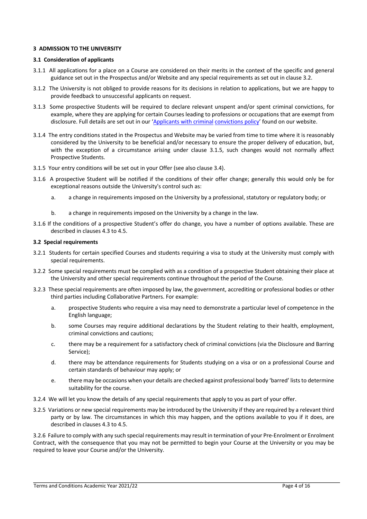#### **3 ADMISSION TO THE UNIVERSITY**

#### **3.1 Consideration of applicants**

- 3.1.1 All applications for a place on a Course are considered on their merits in the context of the specific and general guidance set out in the Prospectus and/or Website and any special requirements as set out in clause 3.2.
- 3.1.2 The University is not obliged to provide reasons for its decisions in relation to applications, but we are happy to provide feedback to unsuccessful applicants on request.
- 3.1.3 Some prospective Students will be required to declare relevant unspent and/or spent criminal convictions, for example, where they are applying for certain Courses leading to professions or occupations that are exempt from disclosure. Full details are set out in our 'Applicants with criminal convictions policy' found on our website.
- 3.1.4 The entry conditions stated in the Prospectus and Website may be varied from time to time where it is reasonably considered by the University to be beneficial and/or necessary to ensure the proper delivery of education, but, with the exception of a circumstance arising under clause 3.1.5, such changes would not normally affect Prospective Students.
- 3.1.5 Your entry conditions will be set out in your Offer (see also clause 3.4).
- 3.1.6 A prospective Student will be notified if the conditions of their offer change; generally this would only be for exceptional reasons outside the University's control such as:
	- a. a change in requirements imposed on the University by a professional, statutory or regulatory body; or
	- b. a change in requirements imposed on the University by a change in the law.
- 3.1.6 If the conditions of a prospective Student's offer do change, you have a number of options available. These are described in clauses 4.3 to 4.5.

# **3.2 Special requirements**

- 3.2.1 Students for certain specified Courses and students requiring a visa to study at the University must comply with special requirements.
- 3.2.2 Some special requirements must be complied with as a condition of a prospective Student obtaining their place at the University and other special requirements continue throughout the period of the Course.
- 3.2.3 These special requirements are often imposed by law, the government, accrediting or professional bodies or other third parties including Collaborative Partners. For example:
	- a. prospective Students who require a visa may need to demonstrate a particular level of competence in the English language;
	- b. some Courses may require additional declarations by the Student relating to their health, employment, criminal convictions and cautions;
	- c. there may be a requirement for a satisfactory check of criminal convictions (via the Disclosure and Barring Service);
	- d. there may be attendance requirements for Students studying on a visa or on a professional Course and certain standards of behaviour may apply; or
	- e. there may be occasions when your details are checked against professional body 'barred' lists to determine suitability for the course.
- 3.2.4 We will let you know the details of any special requirements that apply to you as part of your offer.
- 3.2.5 Variations or new special requirements may be introduced by the University if they are required by a relevant third party or by law. The circumstances in which this may happen, and the options available to you if it does, are described in clauses 4.3 to 4.5.

3.2.6 Failure to comply with any such special requirements may result in termination of your Pre-Enrolment or Enrolment Contract, with the consequence that you may not be permitted to begin your Course at the University or you may be required to leave your Course and/or the University.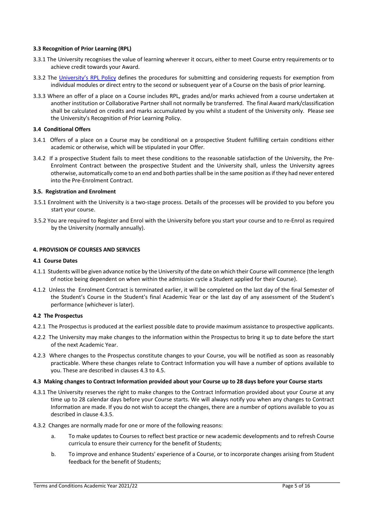#### **3.3 Recognition of Prior Learning (RPL)**

- 3.3.1 The University recognises the value of learning wherever it occurs, either to meet Course entry requirements or to achieve credit towards your Award.
- 3.3.2 The University's RPL Policy defines the procedures for submitting and considering requests for exemption from individual modules or direct entry to the second or subsequent year of a Course on the basis of prior learning.
- 3.3.3 Where an offer of a place on a Course includes RPL, grades and/or marks achieved from a course undertaken at another institution or Collaborative Partner shall not normally be transferred. The final Award mark/classification shall be calculated on credits and marks accumulated by you whilst a student of the University only. Please see the University's Recognition of Prior Learning Policy.

### **3.4 Conditional Offers**

- 3.4.1 Offers of a place on a Course may be conditional on a prospective Student fulfilling certain conditions either academic or otherwise, which will be stipulated in your Offer.
- 3.4.2 If a prospective Student fails to meet these conditions to the reasonable satisfaction of the University, the Pre-Enrolment Contract between the prospective Student and the University shall, unless the University agrees otherwise, automatically come to an end and both parties shall be in the same position as if they had never entered into the Pre-Enrolment Contract.

# **3.5. Registration and Enrolment**

- 3.5.1 Enrolment with the University is a two-stage process. Details of the processes will be provided to you before you start your course.
- 3.5.2 You are required to Register and Enrol with the University before you start your course and to re-Enrol as required by the University (normally annually).

# **4. PROVISION OF COURSES AND SERVICES**

#### **4.1 Course Dates**

- 4.1.1 Students will be given advance notice by the University of the date on which their Course will commence (the length of notice being dependent on when within the admission cycle a Student applied for their Course).
- 4.1.2 Unless the Enrolment Contract is terminated earlier, it will be completed on the last day of the final Semester of the Student's Course in the Student's final Academic Year or the last day of any assessment of the Student's performance (whichever is later).

#### **4.2 The Prospectus**

- 4.2.1 The Prospectus is produced at the earliest possible date to provide maximum assistance to prospective applicants.
- 4.2.2 The University may make changes to the information within the Prospectus to bring it up to date before the start of the next Academic Year.
- 4.2.3 Where changes to the Prospectus constitute changes to your Course, you will be notified as soon as reasonably practicable. Where these changes relate to Contract Information you will have a number of options available to you. These are described in clauses 4.3 to 4.5.

#### **4.3 Making changes to Contract Information provided about your Course up to 28 days before your Course starts**

- 4.3.1 The University reserves the right to make changes to the Contract Information provided about your Course at any time up to 28 calendar days before your Course starts. We will always notify you when any changes to Contract Information are made. If you do not wish to accept the changes, there are a number of options available to you as described in clause 4.3.5.
- 4.3.2 Changes are normally made for one or more of the following reasons:
	- a. To make updates to Courses to reflect best practice or new academic developments and to refresh Course curricula to ensure their currency for the benefit of Students;
	- b. To improve and enhance Students' experience of a Course, or to incorporate changes arising from Student feedback for the benefit of Students;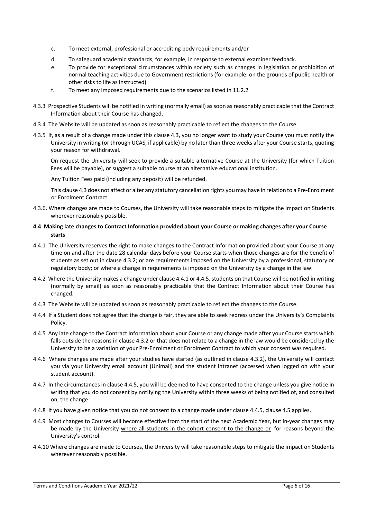- c. To meet external, professional or accrediting body requirements and/or
- d. To safeguard academic standards, for example, in response to external examiner feedback.
- e. To provide for exceptional circumstances within society such as changes in legislation or prohibition of normal teaching activities due to Government restrictions (for example: on the grounds of public health or other risks to life as instructed)
- f. To meet any imposed requirements due to the scenarios listed in 11.2.2
- 4.3.3 Prospective Students will be notified in writing (normally email) as soon as reasonably practicable that the Contract Information about their Course has changed.
- 4.3.4 The Website will be updated as soon as reasonably practicable to reflect the changes to the Course.
- 4.3.5 If, as a result of a change made under this clause 4.3, you no longer want to study your Course you must notify the University in writing (or through UCAS, if applicable) by no later than three weeks after your Course starts, quoting your reason for withdrawal.

On request the University will seek to provide a suitable alternative Course at the University (for which Tuition Fees will be payable), or suggest a suitable course at an alternative educational institution.

Any Tuition Fees paid (including any deposit) will be refunded.

This clause 4.3 does not affect or alter any statutory cancellation rights you may have in relation to a Pre-Enrolment or Enrolment Contract.

4.3.6. Where changes are made to Courses, the University will take reasonable steps to mitigate the impact on Students wherever reasonably possible.

# **4.4 Making late changes to Contract Information provided about your Course or making changes after your Course starts**

- 4.4.1 The University reserves the right to make changes to the Contract Information provided about your Course at any time on and after the date 28 calendar days before your Course starts when those changes are for the benefit of students as set out in clause 4.3.2; or are requirements imposed on the University by a professional, statutory or regulatory body; or where a change in requirements is imposed on the University by a change in the law.
- 4.4.2 Where the University makes a change under clause 4.4.1 or 4.4.5, students on that Course will be notified in writing (normally by email) as soon as reasonably practicable that the Contract Information about their Course has changed.
- 4.4.3 The Website will be updated as soon as reasonably practicable to reflect the changes to the Course.
- 4.4.4 If a Student does not agree that the change is fair, they are able to seek redress under the University's Complaints Policy.
- 4.4.5 Any late change to the Contract Information about your Course or any change made after your Course starts which falls outside the reasons in clause 4.3.2 or that does not relate to a change in the law would be considered by the University to be a variation of your Pre-Enrolment or Enrolment Contract to which your consent was required.
- 4.4.6 Where changes are made after your studies have started (as outlined in clause 4.3.2), the University will contact you via your University email account (Unimail) and the student intranet (accessed when logged on with your student account).
- 4.4.7 In the circumstances in clause 4.4.5, you will be deemed to have consented to the change unless you give notice in writing that you do not consent by notifying the University within three weeks of being notified of, and consulted on, the change.
- 4.4.8 If you have given notice that you do not consent to a change made under clause 4.4.5, clause 4.5 applies.
- 4.4.9 Most changes to Courses will become effective from the start of the next Academic Year, but in-year changes may be made by the University where all students in the cohort consent to the change or for reasons beyond the University's control.
- 4.4.10 Where changes are made to Courses, the University will take reasonable steps to mitigate the impact on Students wherever reasonably possible.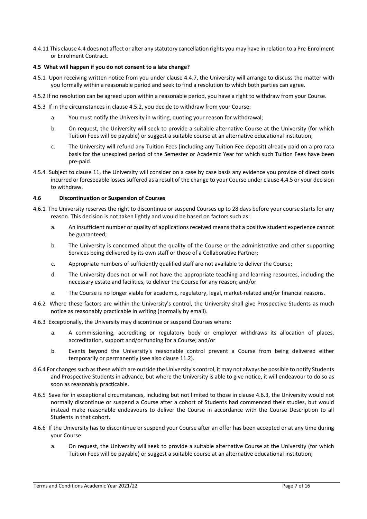4.4.11 This clause 4.4 does not affect or alter any statutory cancellation rights you may have in relation to a Pre-Enrolment or Enrolment Contract.

# **4.5 What will happen if you do not consent to a late change?**

- 4.5.1 Upon receiving written notice from you under clause 4.4.7, the University will arrange to discuss the matter with you formally within a reasonable period and seek to find a resolution to which both parties can agree.
- 4.5.2 If no resolution can be agreed upon within a reasonable period, you have a right to withdraw from your Course.
- 4.5.3 If in the circumstances in clause 4.5.2, you decide to withdraw from your Course:
	- a. You must notify the University in writing, quoting your reason for withdrawal;
	- b. On request, the University will seek to provide a suitable alternative Course at the University (for which Tuition Fees will be payable) or suggest a suitable course at an alternative educational institution;
	- c. The University will refund any Tuition Fees (including any Tuition Fee deposit) already paid on a pro rata basis for the unexpired period of the Semester or Academic Year for which such Tuition Fees have been pre-paid.
- 4.5.4 Subject to clause 11, the University will consider on a case by case basis any evidence you provide of direct costs incurred or foreseeable losses suffered as a result of the change to your Course under clause 4.4.5 or your decision to withdraw.

#### **4.6 Discontinuation or Suspension of Courses**

- 4.6.1 The University reserves the right to discontinue or suspend Courses up to 28 days before your course starts for any reason. This decision is not taken lightly and would be based on factors such as:
	- a. An insufficient number or quality of applications received means that a positive student experience cannot be guaranteed;
	- b. The University is concerned about the quality of the Course or the administrative and other supporting Services being delivered by its own staff or those of a Collaborative Partner;
	- c. Appropriate numbers of sufficiently qualified staff are not available to deliver the Course;
	- d. The University does not or will not have the appropriate teaching and learning resources, including the necessary estate and facilities, to deliver the Course for any reason; and/or
	- e. The Course is no longer viable for academic, regulatory, legal, market-related and/or financial reasons.
- 4.6.2 Where these factors are within the University's control, the University shall give Prospective Students as much notice as reasonably practicable in writing (normally by email).
- 4.6.3 Exceptionally, the University may discontinue or suspend Courses where:
	- a. A commissioning, accrediting or regulatory body or employer withdraws its allocation of places, accreditation, support and/or funding for a Course; and/or
	- b. Events beyond the University's reasonable control prevent a Course from being delivered either temporarily or permanently (see also clause 11.2).
- 4.6.4 For changes such as these which are outside the University's control, it may not always be possible to notify Students and Prospective Students in advance, but where the University is able to give notice, it will endeavour to do so as soon as reasonably practicable.
- 4.6.5 Save for in exceptional circumstances, including but not limited to those in clause 4.6.3, the University would not normally discontinue or suspend a Course after a cohort of Students had commenced their studies, but would instead make reasonable endeavours to deliver the Course in accordance with the Course Description to all Students in that cohort.
- 4.6.6 If the University has to discontinue or suspend your Course after an offer has been accepted or at any time during your Course:
	- a. On request, the University will seek to provide a suitable alternative Course at the University (for which Tuition Fees will be payable) or suggest a suitable course at an alternative educational institution;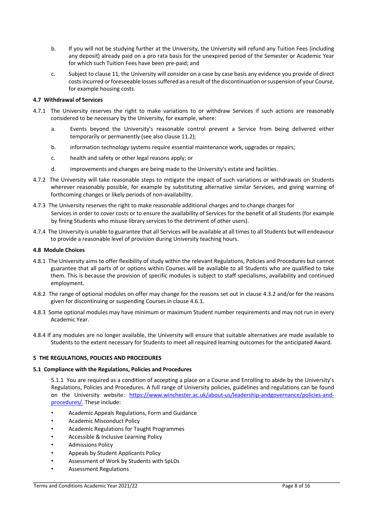- b. If you will not be studying further at the University, the University will refund any Tuition Fees (including any deposit) already paid on a pro rata basis for the unexpired period of the Semester or Academic Year for which such Tuition Fees have been pre-paid; and
- c. Subject to clause 11, the University will consider on a case by case basis any evidence you provide of direct costs incurred or foreseeable losses suffered as a result of the discontinuation or suspension of your Course, for example housing costs.

### **4.7 Withdrawal of Services**

- 4.7.1 The University reserves the right to make variations to or withdraw Services if such actions are reasonably considered to be necessary by the University, for example, where:
	- a. Events beyond the University's reasonable control prevent a Service from being delivered either temporarily or permanently (see also clause 11.2);
	- b. information technology systems require essential maintenance work, upgrades or repairs;
	- c. health and safety or other legal reasons apply; or
	- d. improvements and changes are being made to the University's estate and facilities.
- 4.7.2 The University will take reasonable steps to mitigate the impact of such variations or withdrawals on Students wherever reasonably possible, for example by substituting alternative similar Services, and giving warning of forthcoming changes or likely periods of non-availability.
- 4.7.3 The University reserves the right to make reasonable additional charges and to change charges for Services in order to cover costs or to ensure the availability of Services for the benefit of all Students (for example by fining Students who misuse library services to the detriment of other users).
- 4.7.4 The University is unable to guarantee that all Services will be available at all times to all Students but will endeavour to provide a reasonable level of provision during University teaching hours.

### **4.8 Module Choices**

- 4.8.1 The University aims to offer flexibility of study within the relevant Regulations, Policies and Procedures but cannot guarantee that all parts of or options within Courses will be available to all Students who are qualified to take them. This is because the provision of specific modules is subject to staff specialisms, availability and continued employment.
- 4.8.2 The range of optional modules on offer may change for the reasons set out in clause 4.3.2 and/or for the reasons given for discontinuing or suspending Courses in clause 4.6.1.
- 4.8.3 Some optional modules may have minimum or maximum Student number requirements and may not run in every Academic Year.
- 4.8.4 If any modules are no longer available, the University will ensure that suitable alternatives are made available to Students to the extent necessary for Students to meet all required learning outcomes for the anticipated Award.

# **5 THE REGULATIONS, POLICIES AND PROCEDURES**

#### **5.1 Compliance with the Regulations, Policies and Procedures**

5.1.1 You are required as a condition of accepting a place on a Course and Enrolling to abide by the University's Regulations, Policies and Procedures. A full range of University policies, guidelines and regulations can be found on the University website: https://www.winchester.ac.uk/about-us/leadership-andgovernance/policies-andprocedures/. These include:

- Academic Appeals Regulations, Form and Guidance
- Academic Misconduct Policy
- Academic Regulations for Taught Programmes
- Accessible & Inclusive Learning Policy
- Admissions Policy
- Appeals by Student Applicants Policy
- Assessment of Work by Students with SpLDs
- Assessment Regulations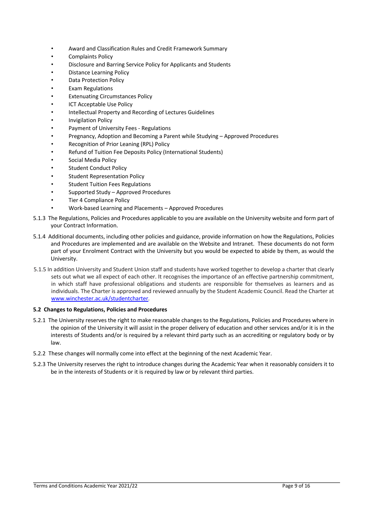- Award and Classification Rules and Credit Framework Summary
- Complaints Policy
- Disclosure and Barring Service Policy for Applicants and Students
- Distance Learning Policy
- Data Protection Policy
- Exam Regulations
- **Extenuating Circumstances Policy**
- **ICT Acceptable Use Policy**
- Intellectual Property and Recording of Lectures Guidelines
- Invigilation Policy
- Payment of University Fees Regulations
- Pregnancy, Adoption and Becoming a Parent while Studying Approved Procedures
- Recognition of Prior Leaning (RPL) Policy
- Refund of Tuition Fee Deposits Policy (International Students)
- Social Media Policy
- Student Conduct Policy
- Student Representation Policy
- **Student Tuition Fees Regulations**
- Supported Study Approved Procedures
- Tier 4 Compliance Policy
- Work-based Learning and Placements Approved Procedures
- 5.1.3 The Regulations, Policies and Procedures applicable to you are available on the University website and form part of your Contract Information.
- 5.1.4 Additional documents, including other policies and guidance, provide information on how the Regulations, Policies and Procedures are implemented and are available on the Website and Intranet. These documents do not form part of your Enrolment Contract with the University but you would be expected to abide by them, as would the University.
- 5.1.5 In addition University and Student Union staff and students have worked together to develop a charter that clearly sets out what we all expect of each other. It recognises the importance of an effective partnership commitment, in which staff have professional obligations and students are responsible for themselves as learners and as individuals. The Charter is approved and reviewed annually by the Student Academic Council. Read the Charter at www.winchester.ac.uk/studentcharter.

#### **5.2 Changes to Regulations, Policies and Procedures**

- 5.2.1 The University reserves the right to make reasonable changes to the Regulations, Policies and Procedures where in the opinion of the University it will assist in the proper delivery of education and other services and/or it is in the interests of Students and/or is required by a relevant third party such as an accrediting or regulatory body or by law.
- 5.2.2 These changes will normally come into effect at the beginning of the next Academic Year.
- 5.2.3 The University reserves the right to introduce changes during the Academic Year when it reasonably considers it to be in the interests of Students or it is required by law or by relevant third parties.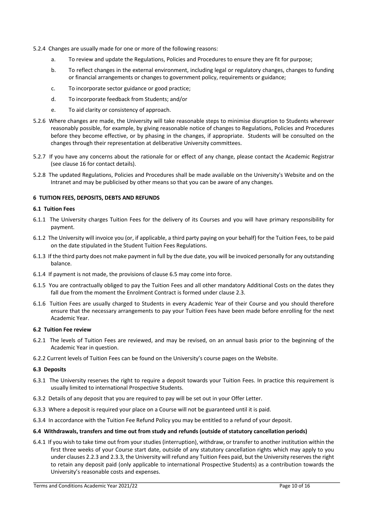- 5.2.4 Changes are usually made for one or more of the following reasons:
	- a. To review and update the Regulations, Policies and Procedures to ensure they are fit for purpose;
	- b. To reflect changes in the external environment, including legal or regulatory changes, changes to funding or financial arrangements or changes to government policy, requirements or guidance;
	- c. To incorporate sector guidance or good practice;
	- d. To incorporate feedback from Students; and/or
	- e. To aid clarity or consistency of approach.
- 5.2.6 Where changes are made, the University will take reasonable steps to minimise disruption to Students wherever reasonably possible, for example, by giving reasonable notice of changes to Regulations, Policies and Procedures before they become effective, or by phasing in the changes, if appropriate. Students will be consulted on the changes through their representation at deliberative University committees.
- 5.2.7 If you have any concerns about the rationale for or effect of any change, please contact the Academic Registrar (see clause 16 for contact details).
- 5.2.8 The updated Regulations, Policies and Procedures shall be made available on the University's Website and on the Intranet and may be publicised by other means so that you can be aware of any changes.

# **6 TUITION FEES, DEPOSITS, DEBTS AND REFUNDS**

#### **6.1 Tuition Fees**

- 6.1.1 The University charges Tuition Fees for the delivery of its Courses and you will have primary responsibility for payment.
- 6.1.2 The University will invoice you (or, if applicable, a third party paying on your behalf) for the Tuition Fees, to be paid on the date stipulated in the Student Tuition Fees Regulations.
- 6.1.3 If the third party does not make payment in full by the due date, you will be invoiced personally for any outstanding balance.
- 6.1.4 If payment is not made, the provisions of clause 6.5 may come into force.
- 6.1.5 You are contractually obliged to pay the Tuition Fees and all other mandatory Additional Costs on the dates they fall due from the moment the Enrolment Contract is formed under clause 2.3.
- 6.1.6 Tuition Fees are usually charged to Students in every Academic Year of their Course and you should therefore ensure that the necessary arrangements to pay your Tuition Fees have been made before enrolling for the next Academic Year.

#### **6.2 Tuition Fee review**

- 6.2.1 The levels of Tuition Fees are reviewed, and may be revised, on an annual basis prior to the beginning of the Academic Year in question.
- 6.2.2 Current levels of Tuition Fees can be found on the University's course pages on the Website.

#### **6.3 Deposits**

- 6.3.1 The University reserves the right to require a deposit towards your Tuition Fees. In practice this requirement is usually limited to international Prospective Students.
- 6.3.2 Details of any deposit that you are required to pay will be set out in your Offer Letter.
- 6.3.3 Where a deposit is required your place on a Course will not be guaranteed until it is paid.
- 6.3.4 In accordance with the Tuition Fee Refund Policy you may be entitled to a refund of your deposit.

#### **6.4 Withdrawals, transfers and time out from study and refunds (outside of statutory cancellation periods)**

6.4.1 If you wish to take time out from your studies (interruption), withdraw, or transfer to another institution within the first three weeks of your Course start date, outside of any statutory cancellation rights which may apply to you under clauses 2.2.3 and 2.3.3, the University will refund any Tuition Fees paid, but the University reserves the right to retain any deposit paid (only applicable to international Prospective Students) as a contribution towards the University's reasonable costs and expenses.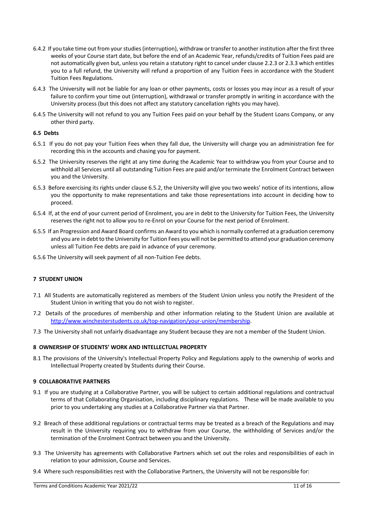- 6.4.2 If you take time out from your studies (interruption), withdraw or transfer to another institution after the first three weeks of your Course start date, but before the end of an Academic Year, refunds/credits of Tuition Fees paid are not automatically given but, unless you retain a statutory right to cancel under clause 2.2.3 or 2.3.3 which entitles you to a full refund, the University will refund a proportion of any Tuition Fees in accordance with the Student Tuition Fees Regulations.
- 6.4.3 The University will not be liable for any loan or other payments, costs or losses you may incur as a result of your failure to confirm your time out (interruption), withdrawal or transfer promptly in writing in accordance with the University process (but this does not affect any statutory cancellation rights you may have).
- 6.4.5 The University will not refund to you any Tuition Fees paid on your behalf by the Student Loans Company, or any other third party.

### **6.5 Debts**

- 6.5.1 If you do not pay your Tuition Fees when they fall due, the University will charge you an administration fee for recording this in the accounts and chasing you for payment.
- 6.5.2 The University reserves the right at any time during the Academic Year to withdraw you from your Course and to withhold all Services until all outstanding Tuition Fees are paid and/or terminate the Enrolment Contract between you and the University.
- 6.5.3 Before exercising its rights under clause 6.5.2, the University will give you two weeks' notice of its intentions, allow you the opportunity to make representations and take those representations into account in deciding how to proceed.
- 6.5.4 If, at the end of your current period of Enrolment, you are in debt to the University for Tuition Fees, the University reserves the right not to allow you to re-Enrol on your Course for the next period of Enrolment.
- 6.5.5 If an Progression and Award Board confirms an Award to you which is normally conferred at a graduation ceremony and you are in debt to the University for Tuition Fees you will not be permitted to attend your graduation ceremony unless all Tuition Fee debts are paid in advance of your ceremony.
- 6.5.6 The University will seek payment of all non-Tuition Fee debts.

# **7 STUDENT UNION**

- 7.1 All Students are automatically registered as members of the Student Union unless you notify the President of the Student Union in writing that you do not wish to register.
- 7.2 Details of the procedures of membership and other information relating to the Student Union are available at http://www.winchesterstudents.co.uk/top-navigation/your-union/membership.
- 7.3 The University shall not unfairly disadvantage any Student because they are not a member of the Student Union.

# **8 OWNERSHIP OF STUDENTS' WORK AND INTELLECTUAL PROPERTY**

8.1 The provisions of the University's Intellectual Property Policy and Regulations apply to the ownership of works and Intellectual Property created by Students during their Course.

# **9 COLLABORATIVE PARTNERS**

- 9.1 If you are studying at a Collaborative Partner, you will be subject to certain additional regulations and contractual terms of that Collaborating Organisation, including disciplinary regulations. These will be made available to you prior to you undertaking any studies at a Collaborative Partner via that Partner.
- 9.2 Breach of these additional regulations or contractual terms may be treated as a breach of the Regulations and may result in the University requiring you to withdraw from your Course, the withholding of Services and/or the termination of the Enrolment Contract between you and the University.
- 9.3 The University has agreements with Collaborative Partners which set out the roles and responsibilities of each in relation to your admission, Course and Services.
- 9.4 Where such responsibilities rest with the Collaborative Partners, the University will not be responsible for: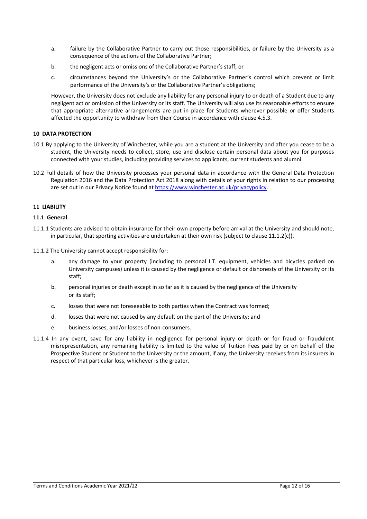- a. failure by the Collaborative Partner to carry out those responsibilities, or failure by the University as a consequence of the actions of the Collaborative Partner;
- b. the negligent acts or omissions of the Collaborative Partner's staff; or
- c. circumstances beyond the University's or the Collaborative Partner's control which prevent or limit performance of the University's or the Collaborative Partner's obligations;

However, the University does not exclude any liability for any personal injury to or death of a Student due to any negligent act or omission of the University or its staff. The University will also use its reasonable efforts to ensure that appropriate alternative arrangements are put in place for Students wherever possible or offer Students affected the opportunity to withdraw from their Course in accordance with clause 4.5.3.

# **10 DATA PROTECTION**

- 10.1 By applying to the University of Winchester, while you are a student at the University and after you cease to be a student, the University needs to collect, store, use and disclose certain personal data about you for purposes connected with your studies, including providing services to applicants, current students and alumni.
- 10.2 Full details of how the University processes your personal data in accordance with the General Data Protection Regulation 2016 and the Data Protection Act 2018 along with details of your rights in relation to our processing are set out in our Privacy Notice found at https://www.winchester.ac.uk/privacypolicy.

# **11 LIABILITY**

#### **11.1 General**

- 11.1.1 Students are advised to obtain insurance for their own property before arrival at the University and should note, in particular, that sporting activities are undertaken at their own risk (subject to clause 11.1.2(c)).
- 11.1.2 The University cannot accept responsibility for:
	- a. any damage to your property (including to personal I.T. equipment, vehicles and bicycles parked on University campuses) unless it is caused by the negligence or default or dishonesty of the University or its staff;
	- b. personal injuries or death except in so far as it is caused by the negligence of the University or its staff;
	- c. losses that were not foreseeable to both parties when the Contract was formed;
	- d. losses that were not caused by any default on the part of the University; and
	- e. business losses, and/or losses of non-consumers.
- 11.1.4 In any event, save for any liability in negligence for personal injury or death or for fraud or fraudulent misrepresentation, any remaining liability is limited to the value of Tuition Fees paid by or on behalf of the Prospective Student or Student to the University or the amount, if any, the University receives from its insurers in respect of that particular loss, whichever is the greater.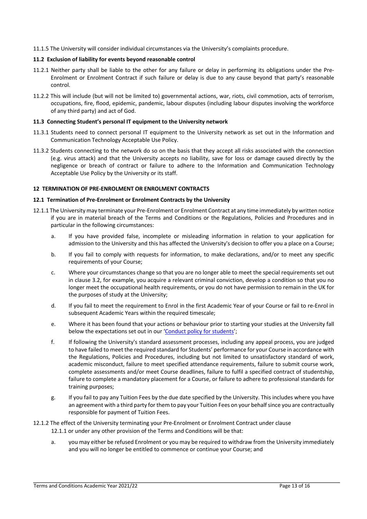11.1.5 The University will consider individual circumstances via the University's complaints procedure.

### **11.2 Exclusion of liability for events beyond reasonable control**

- 11.2.1 Neither party shall be liable to the other for any failure or delay in performing its obligations under the Pre-Enrolment or Enrolment Contract if such failure or delay is due to any cause beyond that party's reasonable control.
- 11.2.2 This will include (but will not be limited to) governmental actions, war, riots, civil commotion, acts of terrorism, occupations, fire, flood, epidemic, pandemic, labour disputes (including labour disputes involving the workforce of any third party) and act of God.

### **11.3 Connecting Student's personal IT equipment to the University network**

- 11.3.1 Students need to connect personal IT equipment to the University network as set out in the Information and Communication Technology Acceptable Use Policy.
- 11.3.2 Students connecting to the network do so on the basis that they accept all risks associated with the connection (e.g. virus attack) and that the University accepts no liability, save for loss or damage caused directly by the negligence or breach of contract or failure to adhere to the Information and Communication Technology Acceptable Use Policy by the University or its staff.

# **12 TERMINATION OF PRE-ENROLMENT OR ENROLMENT CONTRACTS**

#### **12.1 Termination of Pre-Enrolment or Enrolment Contracts by the University**

- 12.1.1 The University may terminate your Pre-Enrolment or Enrolment Contract at any time immediately by written notice if you are in material breach of the Terms and Conditions or the Regulations, Policies and Procedures and in particular in the following circumstances:
	- a. If you have provided false, incomplete or misleading information in relation to your application for admission to the University and this has affected the University's decision to offer you a place on a Course;
	- b. If you fail to comply with requests for information, to make declarations, and/or to meet any specific requirements of your Course;
	- c. Where your circumstances change so that you are no longer able to meet the special requirements set out in clause 3.2, for example, you acquire a relevant criminal conviction, develop a condition so that you no longer meet the occupational health requirements, or you do not have permission to remain in the UK for the purposes of study at the University;
	- d. If you fail to meet the requirement to Enrol in the first Academic Year of your Course or fail to re-Enrol in subsequent Academic Years within the required timescale;
	- e. Where it has been found that your actions or behaviour prior to starting your studies at the University fall below the expectations set out in our 'Conduct policy for students';
	- f. If following the University's standard assessment processes, including any appeal process, you are judged to have failed to meet the required standard for Students' performance for your Course in accordance with the Regulations, Policies and Procedures, including but not limited to unsatisfactory standard of work, academic misconduct, failure to meet specified attendance requirements, failure to submit course work, complete assessments and/or meet Course deadlines, failure to fulfil a specified contract of studentship, failure to complete a mandatory placement for a Course, or failure to adhere to professional standards for training purposes;
	- g. If you fail to pay any Tuition Fees by the due date specified by the University. This includes where you have an agreement with a third party for them to pay your Tuition Fees on your behalf since you are contractually responsible for payment of Tuition Fees.

# 12.1.2 The effect of the University terminating your Pre-Enrolment or Enrolment Contract under clause 12.1.1 or under any other provision of the Terms and Conditions will be that:

a. you may either be refused Enrolment or you may be required to withdraw from the University immediately and you will no longer be entitled to commence or continue your Course; and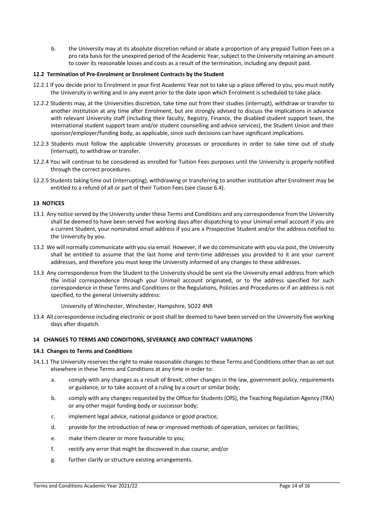b. the University may at its absolute discretion refund or abate a proportion of any prepaid Tuition Fees on a pro rata basis for the unexpired period of the Academic Year, subject to the University retaining an amount to cover its reasonable losses and costs as a result of the termination, including any deposit paid.

### **12.2 Termination of Pre-Enrolment or Enrolment Contracts by the Student**

- 12.2.1 If you decide prior to Enrolment in your first Academic Year not to take up a place offered to you, you must notify the University in writing and in any event prior to the date upon which Enrolment is scheduled to take place.
- 12.2.2 Students may, at the Universities discretion, take time out from their studies (interrupt), withdraw or transfer to another institution at any time after Enrolment, but are strongly advised to discuss the implications in advance with relevant University staff (including their faculty, Registry, Finance, the disabled student support team, the international student support team and/or student counselling and advice services), the Student Union and their sponsor/employer/funding body, as applicable, since such decisions can have significant implications.
- 12.2.3 Students must follow the applicable University processes or procedures in order to take time out of study (interrupt), to withdraw or transfer.
- 12.2.4 You will continue to be considered as enrolled for Tuition Fees purposes until the University is properly notified through the correct procedures.
- 12.2.5 Students taking time out (interrupting), withdrawing or transferring to another institution after Enrolment may be entitled to a refund of all or part of their Tuition Fees (see clause 6.4).

# **13 NOTICES**

- 13.1 Any notice served by the University under these Terms and Conditions and any correspondence from the University shall be deemed to have been served five working days after dispatching to your Unimail email account if you are a current Student, your nominated email address if you are a Prospective Student and/or the address notified to the University by you.
- 13.2 We will normally communicate with you via email. However, if we do communicate with you via post, the University shall be entitled to assume that the last home and term-time addresses you provided to it are your current addresses, and therefore you must keep the University informed of any changes to these addresses.
- 13.3 Any correspondence from the Student to the University should be sent via the University email address from which the initial correspondence through your Unimail account originated, or to the address specified for such correspondence in these Terms and Conditions or the Regulations, Policies and Procedures or if an address is not specified, to the general University address:

University of Winchester, Winchester, Hampshire, SO22 4NR

13.4 All correspondence including electronic or post shall be deemed to have been served on the University five working days after dispatch.

# **14 CHANGES TO TERMS AND CONDITIONS, SEVERANCE AND CONTRACT VARIATIONS**

#### **14.1 Changes to Terms and Conditions**

- 14.1.1 The University reserves the right to make reasonable changes to these Terms and Conditions other than as set out elsewhere in these Terms and Conditions at any time in order to:
	- a. comply with any changes as a result of Brexit, other changes in the law, government policy, requirements or guidance, or to take account of a ruling by a court or similar body;
	- b. comply with any changes requested by the Office for Students (OfS), the Teaching Regulation Agency (TRA) or any other major funding body or successor body;
	- c. implement legal advice, national guidance or good practice;
	- d. provide for the introduction of new or improved methods of operation, services or facilities;
	- e. make them clearer or more favourable to you;
	- f. rectify any error that might be discovered in due course; and/or
	- g. further clarify or structure existing arrangements.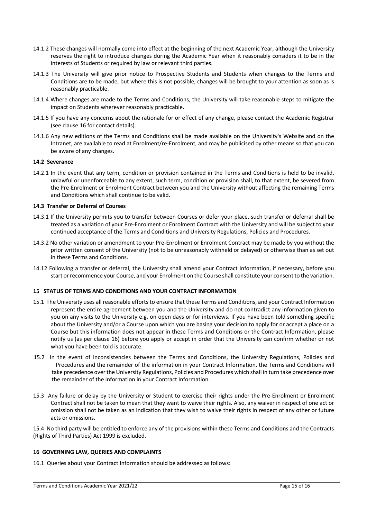- 14.1.2 These changes will normally come into effect at the beginning of the next Academic Year, although the University reserves the right to introduce changes during the Academic Year when it reasonably considers it to be in the interests of Students or required by law or relevant third parties.
- 14.1.3 The University will give prior notice to Prospective Students and Students when changes to the Terms and Conditions are to be made, but where this is not possible, changes will be brought to your attention as soon as is reasonably practicable.
- 14.1.4 Where changes are made to the Terms and Conditions, the University will take reasonable steps to mitigate the impact on Students wherever reasonably practicable.
- 14.1.5 If you have any concerns about the rationale for or effect of any change, please contact the Academic Registrar (see clause 16 for contact details).
- 14.1.6 Any new editions of the Terms and Conditions shall be made available on the University's Website and on the Intranet, are available to read at Enrolment/re-Enrolment, and may be publicised by other means so that you can be aware of any changes.

#### **14.2 Severance**

14.2.1 In the event that any term, condition or provision contained in the Terms and Conditions is held to be invalid, unlawful or unenforceable to any extent, such term, condition or provision shall, to that extent, be severed from the Pre-Enrolment or Enrolment Contract between you and the University without affecting the remaining Terms and Conditions which shall continue to be valid.

#### **14.3 Transfer or Deferral of Courses**

- 14.3.1 If the University permits you to transfer between Courses or defer your place, such transfer or deferral shall be treated as a variation of your Pre-Enrolment or Enrolment Contract with the University and will be subject to your continued acceptance of the Terms and Conditions and University Regulations, Policies and Procedures.
- 14.3.2 No other variation or amendment to your Pre-Enrolment or Enrolment Contract may be made by you without the prior written consent of the University (not to be unreasonably withheld or delayed) or otherwise than as set out in these Terms and Conditions.
- 14.12 Following a transfer or deferral, the University shall amend your Contract Information, if necessary, before you start or recommence your Course, and your Enrolment on the Course shall constitute your consent to the variation.

#### **15 STATUS OF TERMS AND CONDITIONS AND YOUR CONTRACT INFORMATION**

- 15.1 The University uses all reasonable efforts to ensure that these Terms and Conditions, and your Contract Information represent the entire agreement between you and the University and do not contradict any information given to you on any visits to the University e.g. on open days or for interviews. If you have been told something specific about the University and/or a Course upon which you are basing your decision to apply for or accept a place on a Course but this information does not appear in these Terms and Conditions or the Contract Information, please notify us (as per clause 16) before you apply or accept in order that the University can confirm whether or not what you have been told is accurate.
- 15.2 In the event of inconsistencies between the Terms and Conditions, the University Regulations, Policies and Procedures and the remainder of the information in your Contract Information, the Terms and Conditions will take precedence over the University Regulations, Policies and Procedures which shall in turn take precedence over the remainder of the information in your Contract Information.
- 15.3 Any failure or delay by the University or Student to exercise their rights under the Pre-Enrolment or Enrolment Contract shall not be taken to mean that they want to waive their rights. Also, any waiver in respect of one act or omission shall not be taken as an indication that they wish to waive their rights in respect of any other or future acts or omissions.

15.4 No third party will be entitled to enforce any of the provisions within these Terms and Conditions and the Contracts (Rights of Third Parties) Act 1999 is excluded.

#### **16 GOVERNING LAW, QUERIES AND COMPLAINTS**

16.1 Queries about your Contract Information should be addressed as follows: